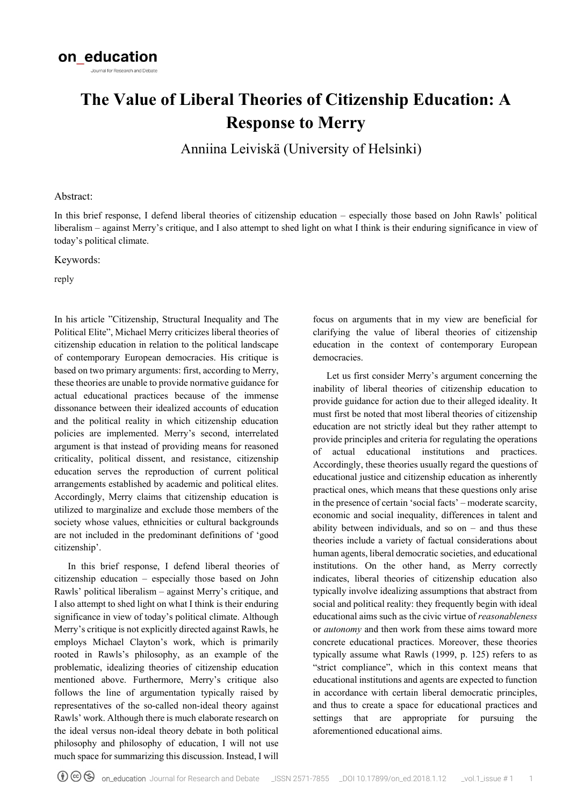# **The Value of Liberal Theories of Citizenship Education: A Response to Merry**

Anniina Leiviskä (University of Helsinki)

### Abstract:

In this brief response, I defend liberal theories of citizenship education – especially those based on John Rawls' political liberalism – against Merry's critique, and I also attempt to shed light on what I think is their enduring significance in view of today's political climate.

Keywords:

reply

In his article "Citizenship, Structural Inequality and The Political Elite", Michael Merry criticizes liberal theories of citizenship education in relation to the political landscape of contemporary European democracies. His critique is based on two primary arguments: first, according to Merry, these theories are unable to provide normative guidance for actual educational practices because of the immense dissonance between their idealized accounts of education and the political reality in which citizenship education policies are implemented. Merry's second, interrelated argument is that instead of providing means for reasoned criticality, political dissent, and resistance, citizenship education serves the reproduction of current political arrangements established by academic and political elites. Accordingly, Merry claims that citizenship education is utilized to marginalize and exclude those members of the society whose values, ethnicities or cultural backgrounds are not included in the predominant definitions of 'good citizenship'.

In this brief response, I defend liberal theories of citizenship education – especially those based on John Rawls' political liberalism – against Merry's critique, and I also attempt to shed light on what I think is their enduring significance in view of today's political climate. Although Merry's critique is not explicitly directed against Rawls, he employs Michael Clayton's work, which is primarily rooted in Rawls's philosophy, as an example of the problematic, idealizing theories of citizenship education mentioned above. Furthermore, Merry's critique also follows the line of argumentation typically raised by representatives of the so-called non-ideal theory against Rawls' work. Although there is much elaborate research on the ideal versus non-ideal theory debate in both political philosophy and philosophy of education, I will not use much space for summarizing this discussion. Instead, I will

focus on arguments that in my view are beneficial for clarifying the value of liberal theories of citizenship education in the context of contemporary European democracies.

Let us first consider Merry's argument concerning the inability of liberal theories of citizenship education to provide guidance for action due to their alleged ideality. It must first be noted that most liberal theories of citizenship education are not strictly ideal but they rather attempt to provide principles and criteria for regulating the operations of actual educational institutions and practices. Accordingly, these theories usually regard the questions of educational justice and citizenship education as inherently practical ones, which means that these questions only arise in the presence of certain 'social facts' – moderate scarcity, economic and social inequality, differences in talent and ability between individuals, and so on  $-$  and thus these theories include a variety of factual considerations about human agents, liberal democratic societies, and educational institutions. On the other hand, as Merry correctly indicates, liberal theories of citizenship education also typically involve idealizing assumptions that abstract from social and political reality: they frequently begin with ideal educational aims such as the civic virtue of *reasonableness*  or *autonomy* and then work from these aims toward more concrete educational practices. Moreover, these theories typically assume what Rawls (1999, p. 125) refers to as "strict compliance", which in this context means that educational institutions and agents are expected to function in accordance with certain liberal democratic principles, and thus to create a space for educational practices and settings that are appropriate for pursuing the aforementioned educational aims.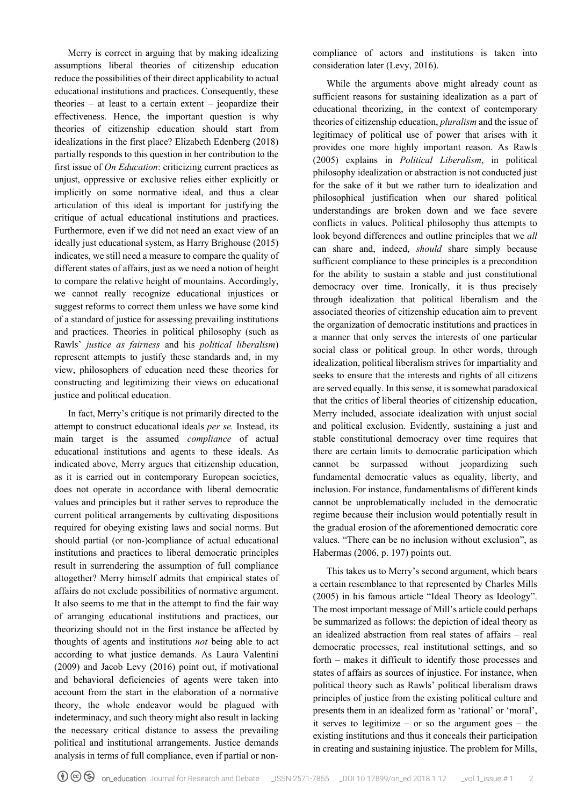Merry is correct in arguing that by making idealizing assumptions liberal theories of citizenship education reduce the possibilities of their direct applicability to actual educational institutions and practices. Consequently, these theories – at least to a certain extent – jeopardize their effectiveness. Hence, the important question is why theories of citizenship education should start from idealizations in the first place? Elizabeth Edenberg (2018) partially responds to this question in her contribution to the first issue of *On Education*: criticizing current practices as unjust, oppressive or exclusive relies either explicitly or implicitly on some normative ideal, and thus a clear articulation of this ideal is important for justifying the critique of actual educational institutions and practices. Furthermore, even if we did not need an exact view of an ideally just educational system, as Harry Brighouse (2015) indicates, we still need a measure to compare the quality of different states of affairs, just as we need a notion of height to compare the relative height of mountains. Accordingly, we cannot really recognize educational injustices or suggest reforms to correct them unless we have some kind of a standard of justice for assessing prevailing institutions and practices. Theories in political philosophy (such as Rawls' *justice as fairness* and his *political liberalism*) represent attempts to justify these standards and, in my view, philosophers of education need these theories for constructing and legitimizing their views on educational justice and political education.

In fact, Merry's critique is not primarily directed to the attempt to construct educational ideals *per se.* Instead, its main target is the assumed *compliance* of actual educational institutions and agents to these ideals. As indicated above, Merry argues that citizenship education, as it is carried out in contemporary European societies, does not operate in accordance with liberal democratic values and principles but it rather serves to reproduce the current political arrangements by cultivating dispositions required for obeying existing laws and social norms. But should partial (or non-)compliance of actual educational institutions and practices to liberal democratic principles result in surrendering the assumption of full compliance altogether? Merry himself admits that empirical states of affairs do not exclude possibilities of normative argument. It also seems to me that in the attempt to find the fair way of arranging educational institutions and practices, our theorizing should not in the first instance be affected by thoughts of agents and institutions *not* being able to act according to what justice demands. As Laura Valentini (2009) and Jacob Levy (2016) point out, if motivational and behavioral deficiencies of agents were taken into account from the start in the elaboration of a normative theory, the whole endeavor would be plagued with indeterminacy, and such theory might also result in lacking the necessary critical distance to assess the prevailing political and institutional arrangements. Justice demands analysis in terms of full compliance, even if partial or noncompliance of actors and institutions is taken into consideration later (Levy, 2016).

While the arguments above might already count as sufficient reasons for sustaining idealization as a part of educational theorizing, in the context of contemporary theories of citizenship education, *pluralism* and the issue of legitimacy of political use of power that arises with it provides one more highly important reason. As Rawls (2005) explains in *Political Liberalism*, in political philosophy idealization or abstraction is not conducted just for the sake of it but we rather turn to idealization and philosophical justification when our shared political understandings are broken down and we face severe conflicts in values. Political philosophy thus attempts to look beyond differences and outline principles that we *all*  can share and, indeed, *should* share simply because sufficient compliance to these principles is a precondition for the ability to sustain a stable and just constitutional democracy over time. Ironically, it is thus precisely through idealization that political liberalism and the associated theories of citizenship education aim to prevent the organization of democratic institutions and practices in a manner that only serves the interests of one particular social class or political group. In other words, through idealization, political liberalism strives for impartiality and seeks to ensure that the interests and rights of all citizens are served equally. In this sense, it is somewhat paradoxical that the critics of liberal theories of citizenship education, Merry included, associate idealization with unjust social and political exclusion. Evidently, sustaining a just and stable constitutional democracy over time requires that there are certain limits to democratic participation which cannot be surpassed without jeopardizing such fundamental democratic values as equality, liberty, and inclusion. For instance, fundamentalisms of different kinds cannot be unproblematically included in the democratic regime because their inclusion would potentially result in the gradual erosion of the aforementioned democratic core values. "There can be no inclusion without exclusion", as Habermas (2006, p. 197) points out.

This takes us to Merry's second argument, which bears a certain resemblance to that represented by Charles Mills (2005) in his famous article "Ideal Theory as Ideology". The most important message of Mill's article could perhaps be summarized as follows: the depiction of ideal theory as an idealized abstraction from real states of affairs – real democratic processes, real institutional settings, and so forth – makes it difficult to identify those processes and states of affairs as sources of injustice. For instance, when political theory such as Rawls' political liberalism draws principles of justice from the existing political culture and presents them in an idealized form as 'rational' or 'moral', it serves to legitimize – or so the argument goes – the existing institutions and thus it conceals their participation in creating and sustaining injustice. The problem for Mills,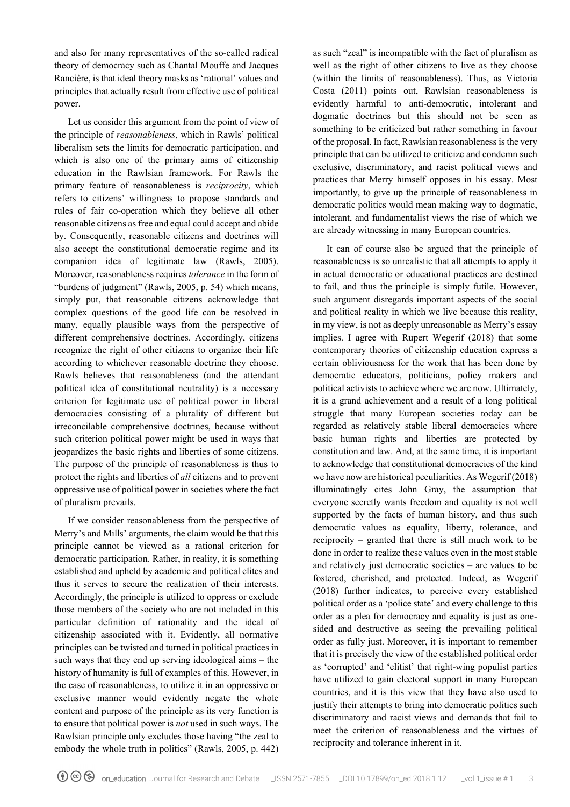and also for many representatives of the so-called radical theory of democracy such as Chantal Mouffe and Jacques Rancière, is that ideal theory masks as 'rational' values and principles that actually result from effective use of political power.

Let us consider this argument from the point of view of the principle of *reasonableness*, which in Rawls' political liberalism sets the limits for democratic participation, and which is also one of the primary aims of citizenship education in the Rawlsian framework. For Rawls the primary feature of reasonableness is *reciprocity*, which refers to citizens' willingness to propose standards and rules of fair co-operation which they believe all other reasonable citizens as free and equal could accept and abide by. Consequently, reasonable citizens and doctrines will also accept the constitutional democratic regime and its companion idea of legitimate law (Rawls, 2005). Moreover, reasonableness requires *tolerance* in the form of "burdens of judgment" (Rawls, 2005, p. 54) which means, simply put, that reasonable citizens acknowledge that complex questions of the good life can be resolved in many, equally plausible ways from the perspective of different comprehensive doctrines. Accordingly, citizens recognize the right of other citizens to organize their life according to whichever reasonable doctrine they choose. Rawls believes that reasonableness (and the attendant political idea of constitutional neutrality) is a necessary criterion for legitimate use of political power in liberal democracies consisting of a plurality of different but irreconcilable comprehensive doctrines, because without such criterion political power might be used in ways that jeopardizes the basic rights and liberties of some citizens. The purpose of the principle of reasonableness is thus to protect the rights and liberties of *all* citizens and to prevent oppressive use of political power in societies where the fact of pluralism prevails.

If we consider reasonableness from the perspective of Merry's and Mills' arguments, the claim would be that this principle cannot be viewed as a rational criterion for democratic participation. Rather, in reality, it is something established and upheld by academic and political elites and thus it serves to secure the realization of their interests. Accordingly, the principle is utilized to oppress or exclude those members of the society who are not included in this particular definition of rationality and the ideal of citizenship associated with it. Evidently, all normative principles can be twisted and turned in political practices in such ways that they end up serving ideological aims – the history of humanity is full of examples of this. However, in the case of reasonableness, to utilize it in an oppressive or exclusive manner would evidently negate the whole content and purpose of the principle as its very function is to ensure that political power is *not* used in such ways. The Rawlsian principle only excludes those having "the zeal to embody the whole truth in politics" (Rawls, 2005, p. 442)

as such "zeal" is incompatible with the fact of pluralism as well as the right of other citizens to live as they choose (within the limits of reasonableness). Thus, as Victoria Costa (2011) points out, Rawlsian reasonableness is evidently harmful to anti-democratic, intolerant and dogmatic doctrines but this should not be seen as something to be criticized but rather something in favour of the proposal. In fact, Rawlsian reasonableness is the very principle that can be utilized to criticize and condemn such exclusive, discriminatory, and racist political views and practices that Merry himself opposes in his essay. Most importantly, to give up the principle of reasonableness in democratic politics would mean making way to dogmatic, intolerant, and fundamentalist views the rise of which we are already witnessing in many European countries.

It can of course also be argued that the principle of reasonableness is so unrealistic that all attempts to apply it in actual democratic or educational practices are destined to fail, and thus the principle is simply futile. However, such argument disregards important aspects of the social and political reality in which we live because this reality, in my view, is not as deeply unreasonable as Merry's essay implies. I agree with Rupert Wegerif (2018) that some contemporary theories of citizenship education express a certain obliviousness for the work that has been done by democratic educators, politicians, policy makers and political activists to achieve where we are now. Ultimately, it is a grand achievement and a result of a long political struggle that many European societies today can be regarded as relatively stable liberal democracies where basic human rights and liberties are protected by constitution and law. And, at the same time, it is important to acknowledge that constitutional democracies of the kind we have now are historical peculiarities. As Wegerif (2018) illuminatingly cites John Gray, the assumption that everyone secretly wants freedom and equality is not well supported by the facts of human history, and thus such democratic values as equality, liberty, tolerance, and reciprocity – granted that there is still much work to be done in order to realize these values even in the most stable and relatively just democratic societies – are values to be fostered, cherished, and protected. Indeed, as Wegerif (2018) further indicates, to perceive every established political order as a 'police state' and every challenge to this order as a plea for democracy and equality is just as onesided and destructive as seeing the prevailing political order as fully just. Moreover, it is important to remember that it is precisely the view of the established political order as 'corrupted' and 'elitist' that right-wing populist parties have utilized to gain electoral support in many European countries, and it is this view that they have also used to justify their attempts to bring into democratic politics such discriminatory and racist views and demands that fail to meet the criterion of reasonableness and the virtues of reciprocity and tolerance inherent in it.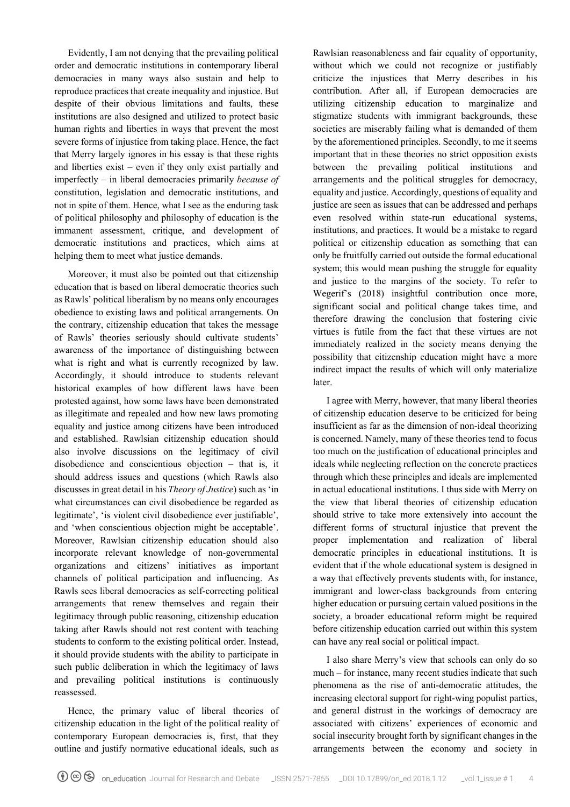Evidently, I am not denying that the prevailing political order and democratic institutions in contemporary liberal democracies in many ways also sustain and help to reproduce practices that create inequality and injustice. But despite of their obvious limitations and faults, these institutions are also designed and utilized to protect basic human rights and liberties in ways that prevent the most severe forms of injustice from taking place. Hence, the fact that Merry largely ignores in his essay is that these rights and liberties exist – even if they only exist partially and imperfectly – in liberal democracies primarily *because of*  constitution, legislation and democratic institutions, and not in spite of them. Hence, what I see as the enduring task of political philosophy and philosophy of education is the immanent assessment, critique, and development of democratic institutions and practices, which aims at helping them to meet what justice demands.

Moreover, it must also be pointed out that citizenship education that is based on liberal democratic theories such as Rawls' political liberalism by no means only encourages obedience to existing laws and political arrangements. On the contrary, citizenship education that takes the message of Rawls' theories seriously should cultivate students' awareness of the importance of distinguishing between what is right and what is currently recognized by law. Accordingly, it should introduce to students relevant historical examples of how different laws have been protested against, how some laws have been demonstrated as illegitimate and repealed and how new laws promoting equality and justice among citizens have been introduced and established. Rawlsian citizenship education should also involve discussions on the legitimacy of civil disobedience and conscientious objection – that is, it should address issues and questions (which Rawls also discusses in great detail in his *Theory of Justice*) such as 'in what circumstances can civil disobedience be regarded as legitimate', 'is violent civil disobedience ever justifiable', and 'when conscientious objection might be acceptable'. Moreover, Rawlsian citizenship education should also incorporate relevant knowledge of non-governmental organizations and citizens' initiatives as important channels of political participation and influencing. As Rawls sees liberal democracies as self-correcting political arrangements that renew themselves and regain their legitimacy through public reasoning, citizenship education taking after Rawls should not rest content with teaching students to conform to the existing political order. Instead, it should provide students with the ability to participate in such public deliberation in which the legitimacy of laws and prevailing political institutions is continuously reassessed.

Hence, the primary value of liberal theories of citizenship education in the light of the political reality of contemporary European democracies is, first, that they outline and justify normative educational ideals, such as

Rawlsian reasonableness and fair equality of opportunity, without which we could not recognize or justifiably criticize the injustices that Merry describes in his contribution. After all, if European democracies are utilizing citizenship education to marginalize and stigmatize students with immigrant backgrounds, these societies are miserably failing what is demanded of them by the aforementioned principles. Secondly, to me it seems important that in these theories no strict opposition exists between the prevailing political institutions and arrangements and the political struggles for democracy, equality and justice. Accordingly, questions of equality and justice are seen as issues that can be addressed and perhaps even resolved within state-run educational systems, institutions, and practices. It would be a mistake to regard political or citizenship education as something that can only be fruitfully carried out outside the formal educational system; this would mean pushing the struggle for equality and justice to the margins of the society. To refer to Wegerif's (2018) insightful contribution once more, significant social and political change takes time, and therefore drawing the conclusion that fostering civic virtues is futile from the fact that these virtues are not immediately realized in the society means denying the possibility that citizenship education might have a more indirect impact the results of which will only materialize later.

I agree with Merry, however, that many liberal theories of citizenship education deserve to be criticized for being insufficient as far as the dimension of non-ideal theorizing is concerned. Namely, many of these theories tend to focus too much on the justification of educational principles and ideals while neglecting reflection on the concrete practices through which these principles and ideals are implemented in actual educational institutions. I thus side with Merry on the view that liberal theories of citizenship education should strive to take more extensively into account the different forms of structural injustice that prevent the proper implementation and realization of liberal democratic principles in educational institutions. It is evident that if the whole educational system is designed in a way that effectively prevents students with, for instance, immigrant and lower-class backgrounds from entering higher education or pursuing certain valued positions in the society, a broader educational reform might be required before citizenship education carried out within this system can have any real social or political impact.

I also share Merry's view that schools can only do so much – for instance, many recent studies indicate that such phenomena as the rise of anti-democratic attitudes, the increasing electoral support for right-wing populist parties, and general distrust in the workings of democracy are associated with citizens' experiences of economic and social insecurity brought forth by significant changes in the arrangements between the economy and society in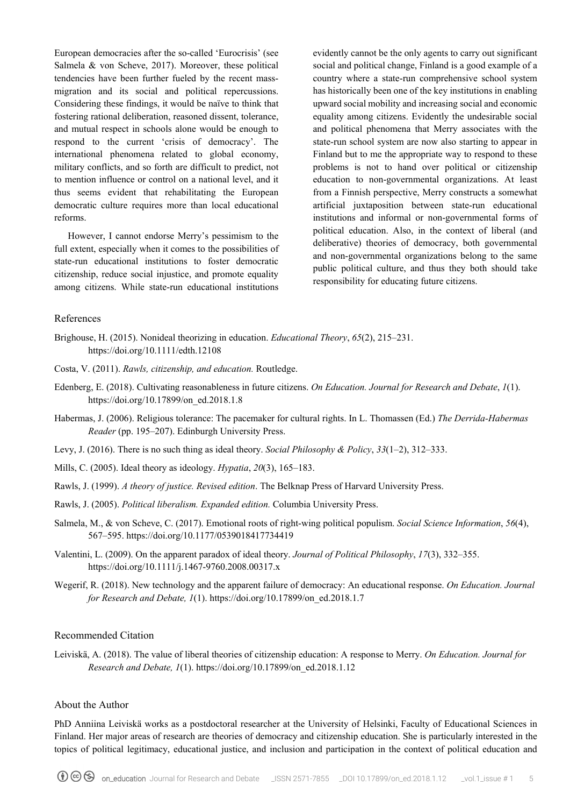European democracies after the so-called 'Eurocrisis' (see Salmela & von Scheve, 2017). Moreover, these political tendencies have been further fueled by the recent massmigration and its social and political repercussions. Considering these findings, it would be naïve to think that fostering rational deliberation, reasoned dissent, tolerance, and mutual respect in schools alone would be enough to respond to the current 'crisis of democracy'. The international phenomena related to global economy, military conflicts, and so forth are difficult to predict, not to mention influence or control on a national level, and it thus seems evident that rehabilitating the European democratic culture requires more than local educational reforms.

However, I cannot endorse Merry's pessimism to the full extent, especially when it comes to the possibilities of state-run educational institutions to foster democratic citizenship, reduce social injustice, and promote equality among citizens. While state-run educational institutions

evidently cannot be the only agents to carry out significant social and political change, Finland is a good example of a country where a state-run comprehensive school system has historically been one of the key institutions in enabling upward social mobility and increasing social and economic equality among citizens. Evidently the undesirable social and political phenomena that Merry associates with the state-run school system are now also starting to appear in Finland but to me the appropriate way to respond to these problems is not to hand over political or citizenship education to non-governmental organizations. At least from a Finnish perspective, Merry constructs a somewhat artificial juxtaposition between state-run educational institutions and informal or non-governmental forms of political education. Also, in the context of liberal (and deliberative) theories of democracy, both governmental and non-governmental organizations belong to the same public political culture, and thus they both should take responsibility for educating future citizens.

#### References

- Brighouse, H. (2015). Nonideal theorizing in education. *Educational Theory*, *65*(2), 215–231. <https://doi.org/10.1111/edth.12108>
- Costa, V. (2011). *Rawls, citizenship, and education.* Routledge.
- Edenberg, E. (2018). Cultivating reasonableness in future citizens. *On Education. Journal for Research and Debate*, *1*(1). [https://doi.org/10.17899/on\\_ed.2018.1.8](https://doi.org/10.17899/on_ed.2018.1.8)
- Habermas, J. (2006). Religious tolerance: The pacemaker for cultural rights. In L. Thomassen (Ed.) *The Derrida-Habermas Reader* (pp. 195–207). Edinburgh University Press.
- Levy, J. (2016). There is no such thing as ideal theory. *Social Philosophy & Policy*, *33*(1–2), 312–333.
- Mills, C. (2005). Ideal theory as ideology. *Hypatia*, *20*(3), 165–183.
- Rawls, J. (1999). *A theory of justice. Revised edition*. The Belknap Press of Harvard University Press.
- Rawls, J. (2005). *Political liberalism. Expanded edition.* Columbia University Press.
- Salmela, M., & von Scheve, C. (2017). Emotional roots of right-wing political populism. *Social Science Information*, *56*(4), 567–595.<https://doi.org/10.1177/0539018417734419>
- Valentini, L. (2009). On the apparent paradox of ideal theory. *Journal of Political Philosophy*, *17*(3), 332–355. <https://doi.org/10.1111/j.1467-9760.2008.00317.x>
- Wegerif, R. (2018). New technology and the apparent failure of democracy: An educational response. *On Education. Journal for Research and Debate, 1*(1). [https://doi.org/10.17899/on\\_ed.2018.1.7](https://doi.org/10.17899/on_ed.2018.1.7)

## Recommended Citation

Leiviskä, A. (2018). The value of liberal theories of citizenship education: A response to Merry. *On Education. Journal for Research and Debate, 1*(1). [https://doi.org/10.17899/on\\_ed.2018.1.12](https://doi.org/10.17899/on_ed.2018.1.12)

#### About the Author

PhD Anniina Leiviskä works as a postdoctoral researcher at the University of Helsinki, Faculty of Educational Sciences in Finland. Her major areas of research are theories of democracy and citizenship education. She is particularly interested in the topics of political legitimacy, educational justice, and inclusion and participation in the context of political education and